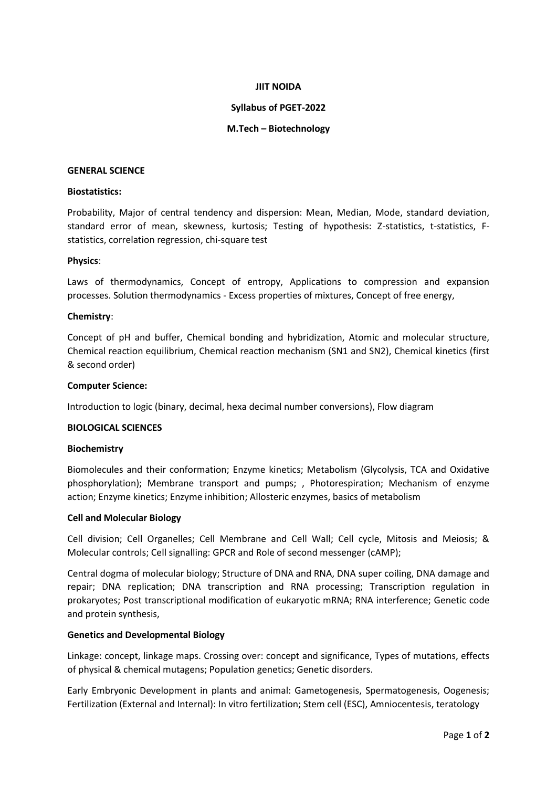## **JIIT NOIDA**

## **Syllabus of PGET-2022**

## **M.Tech – Biotechnology**

### **GENERAL SCIENCE**

## **Biostatistics:**

Probability, Major of central tendency and dispersion: Mean, Median, Mode, standard deviation, standard error of mean, skewness, kurtosis; Testing of hypothesis: Z-statistics, t-statistics, Fstatistics, correlation regression, chi-square test

### **Physics**:

Laws of thermodynamics, Concept of entropy, Applications to compression and expansion processes. Solution thermodynamics - Excess properties of mixtures, Concept of free energy,

### **Chemistry**:

Concept of pH and buffer, Chemical bonding and hybridization, Atomic and molecular structure, Chemical reaction equilibrium, Chemical reaction mechanism (SN1 and SN2), Chemical kinetics (first & second order)

### **Computer Science:**

Introduction to logic (binary, decimal, hexa decimal number conversions), Flow diagram

### **BIOLOGICAL SCIENCES**

#### **Biochemistry**

Biomolecules and their conformation; Enzyme kinetics; Metabolism (Glycolysis, TCA and Oxidative phosphorylation); Membrane transport and pumps; , Photorespiration; Mechanism of enzyme action; Enzyme kinetics; Enzyme inhibition; Allosteric enzymes, basics of metabolism

### **Cell and Molecular Biology**

Cell division; Cell Organelles; Cell Membrane and Cell Wall; Cell cycle, Mitosis and Meiosis; & Molecular controls; Cell signalling: GPCR and Role of second messenger (cAMP);

Central dogma of molecular biology; Structure of DNA and RNA, DNA super coiling, DNA damage and repair; DNA replication; DNA transcription and RNA processing; Transcription regulation in prokaryotes; Post transcriptional modification of eukaryotic mRNA; RNA interference; Genetic code and protein synthesis,

### **Genetics and Developmental Biology**

Linkage: concept, linkage maps. Crossing over: concept and significance, Types of mutations, effects of physical & chemical mutagens; Population genetics; Genetic disorders.

Early Embryonic Development in plants and animal: Gametogenesis, Spermatogenesis, Oogenesis; Fertilization (External and Internal): In vitro fertilization; Stem cell (ESC), Amniocentesis, teratology